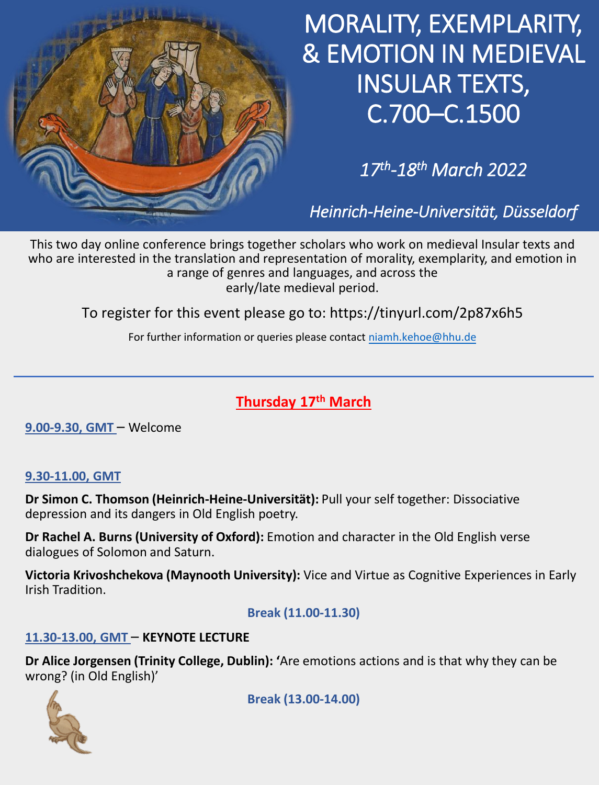

# MORALITY, EXEMPLARITY, & EMOTION IN MEDIEVAL INSULAR TEXTS, C.700–C.1500

*17th -18th March 2022*

*Heinrich-Heine-Universität, Düsseldorf*

This two day online conference brings together scholars who work on medieval Insular texts and who are interested in the translation and representation of morality, exemplarity, and emotion in a range of genres and languages, and across the early/late medieval period.

To register for this event please go to:<https://tinyurl.com/2p87x6h5>

For further information or queries please contact niamh.kehoe@hhu.de

### **Thursday 17th March**

**9.00-9.30, GMT** – Welcome

#### **9.30-11.00, GMT**

**Dr Simon C. Thomson (Heinrich-Heine-Universität):** Pull your self together: Dissociative depression and its dangers in Old English poetry.

**Dr Rachel A. Burns (University of Oxford):** Emotion and character in the Old English verse dialogues of Solomon and Saturn.

**Victoria Krivoshchekova (Maynooth University):** Vice and Virtue as Cognitive Experiences in Early Irish Tradition.

**Break (11.00-11.30)**

#### **11.30-13.00, GMT** – **KEYNOTE LECTURE**

**Dr Alice Jorgensen (Trinity College, Dublin): '**Are emotions actions and is that why they can be wrong? (in Old English)'



**Break (13.00-14.00)**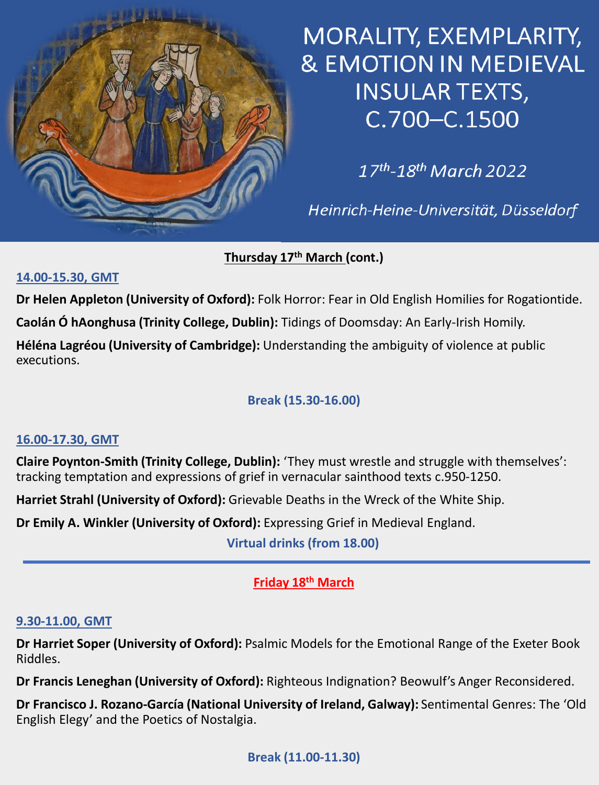

## MORALITY, EXEMPLARITY, & EMOTION IN MEDIEVAL **INSULAR TEXTS,** C.700-C.1500

 $17<sup>th</sup> - 18<sup>th</sup> March 2022$ 

Heinrich-Heine-Universität, Düsseldorf

#### **Thursday 17th March (cont.)**

#### **14.00-15.30, GMT**

**Dr Helen Appleton (University of Oxford):** Folk Horror: Fear in Old English Homilies for Rogationtide.

**Caolán Ó hAonghusa (Trinity College, Dublin):** Tidings of Doomsday: An Early-Irish Homily.

**Héléna Lagréou (University of Cambridge):** Understanding the ambiguity of violence at public executions.

#### **Break (15.30-16.00)**

#### **16.00-17.30, GMT**

**Claire Poynton-Smith (Trinity College, Dublin):** 'They must wrestle and struggle with themselves': tracking temptation and expressions of grief in vernacular sainthood texts c.950-1250.

**Harriet Strahl (University of Oxford):** Grievable Deaths in the Wreck of the White Ship.

**Dr Emily A. Winkler (University of Oxford):** Expressing Grief in Medieval England.

**Virtual drinks (from 18.00)**

#### **Friday 18th March**

#### **9.30-11.00, GMT**

**Dr Harriet Soper (University of Oxford):** Psalmic Models for the Emotional Range of the Exeter Book Riddles.

**Dr Francis Leneghan (University of Oxford):** Righteous Indignation? Beowulf's Anger Reconsidered.

**Dr Francisco J. Rozano-García (National University of Ireland, Galway):** Sentimental Genres: The 'Old English Elegy' and the Poetics of Nostalgia.